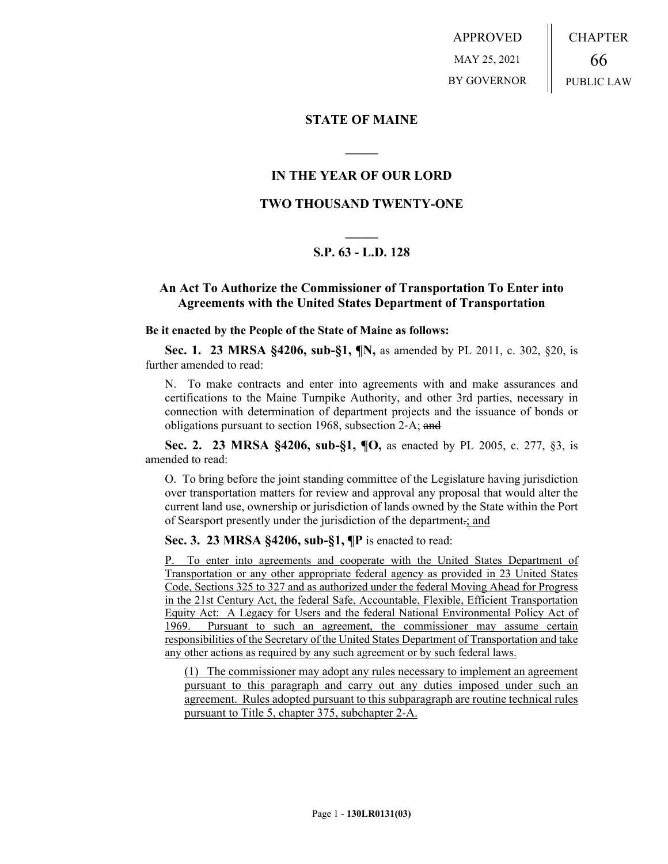APPROVED MAY 25, 2021 BY GOVERNOR CHAPTER 66 PUBLIC LAW

## **STATE OF MAINE**

# **IN THE YEAR OF OUR LORD**

**\_\_\_\_\_**

## **TWO THOUSAND TWENTY-ONE**

# **\_\_\_\_\_ S.P. 63 - L.D. 128**

# **An Act To Authorize the Commissioner of Transportation To Enter into Agreements with the United States Department of Transportation**

#### **Be it enacted by the People of the State of Maine as follows:**

**Sec. 1. 23 MRSA §4206, sub-§1, ¶N,** as amended by PL 2011, c. 302, §20, is further amended to read:

N. To make contracts and enter into agreements with and make assurances and certifications to the Maine Turnpike Authority, and other 3rd parties, necessary in connection with determination of department projects and the issuance of bonds or obligations pursuant to section 1968, subsection 2‑A; and

**Sec. 2. 23 MRSA §4206, sub-§1, ¶O,** as enacted by PL 2005, c. 277, §3, is amended to read:

O. To bring before the joint standing committee of the Legislature having jurisdiction over transportation matters for review and approval any proposal that would alter the current land use, ownership or jurisdiction of lands owned by the State within the Port of Searsport presently under the jurisdiction of the department.; and

## **Sec. 3. 23 MRSA §4206, sub-§1, ¶P** is enacted to read:

P. To enter into agreements and cooperate with the United States Department of Transportation or any other appropriate federal agency as provided in 23 United States Code, Sections 325 to 327 and as authorized under the federal Moving Ahead for Progress in the 21st Century Act, the federal Safe, Accountable, Flexible, Efficient Transportation Equity Act: A Legacy for Users and the federal National Environmental Policy Act of 1969. Pursuant to such an agreement, the commissioner may assume certain responsibilities of the Secretary of the United States Department of Transportation and take any other actions as required by any such agreement or by such federal laws.

(1) The commissioner may adopt any rules necessary to implement an agreement pursuant to this paragraph and carry out any duties imposed under such an agreement. Rules adopted pursuant to this subparagraph are routine technical rules pursuant to Title 5, chapter 375, subchapter 2-A.